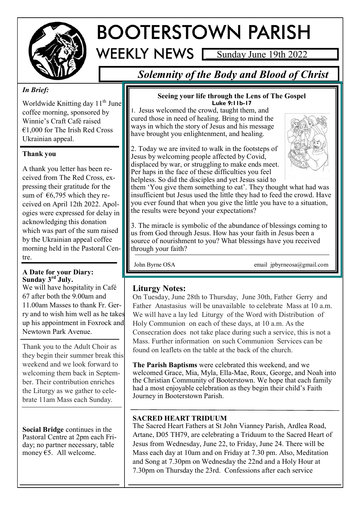

# **BOOTERSTOWN PARISH**

Sunday June 19th 2022

# *Solemnity of the Body and Blood of Christ*

## *In Brief:*

Worldwide Knitting day 11<sup>th</sup> June coffee morning, sponsored by Winnie's Craft Café raised  $€1,000$  for The Irish Red Cross Ukrainian appeal.

#### **Thank you**

A thank you letter has been received from The Red Cross, expressing their gratitude for the sum of  $\epsilon$ 6,795 which they received on April 12th 2022. Apologies were expressed for delay in acknowledging this donation which was part of the sum raised by the Ukrainian appeal coffee morning held in the Pastoral Centre.

#### **A Date for your Diary: Sunday 3rd July.**

We will have hospitality in Café 67 after both the 9.00am and 11.00am Masses to thank Fr. Gerry and to wish him well as he takes up his appointment in Foxrock and Newtown Park Avenue.

Thank you to the Adult Choir as they begin their summer break this weekend and we look forward to welcoming them back in September. Their contribution enriches the Liturgy as we gather to celebrate 11am Mass each Sunday.

**Social Bridge** continues in the Pastoral Centre at 2pm each Friday; no partner necessary, table money  $65$ . All welcome.

#### **Seeing your life through the Lens of The Gospel Luke 9:11b-17**

1. Jesus welcomed the crowd, taught them, and cured those in need of healing. Bring to mind the ways in which the story of Jesus and his message have brought you enlightenment, and healing.

2. Today we are invited to walk in the footsteps of Jesus by welcoming people affected by Covid, displaced by war, or struggling to make ends meet. Per haps in the face of these difficulties you feel helpless. So did the disciples and yet Jesus said to



them 'You give them something to eat'. They thought what had was insufficient but Jesus used the little they had to feed the crowd. Have you ever found that when you give the little you have to a situation, the results were beyond your expectations?

3. The miracle is symbolic of the abundance of blessings coming to us from God through Jesus. How has your faith in Jesus been a source of nourishment to you? What blessings have you received through your faith?

John Byrne OSA email jpbyrneosa@gmail.com

## **Liturgy Notes:**

On Tuesday, June 28th to Thursday, June 30th, Father Gerry and Father Anastasius will be unavailable to celebrate Mass at 10 a.m. We will have a lay led Liturgy of the Word with Distribution of Holy Communion on each of these days, at 10 a.m. As the Consecration does not take place during such a service, this is not a Mass. Further information on such Communion Services can be found on leaflets on the table at the back of the church.

**The Parish Baptisms** were celebrated this weekend, and we welcomed Grace, Mia, Myla, Ella-Mae, Roux, George, and Noah into the Christian Community of Booterstown. We hope that each family had a most enjoyable celebration as they begin their child's Faith Journey in Booterstown Parish.

#### **SACRED HEART TRIDUUM**

The Sacred Heart Fathers at St John Vianney Parish, Ardlea Road, Artane, D05 TH79, are celebrating a Triduum to the Sacred Heart of Jesus from Wednesday, June 22, to Friday, June 24. There will be Mass each day at 10am and on Friday at 7.30 pm. Also, Meditation and Song at 7.30pm on Wednesday the 22nd and a Holy Hour at 7.30pm on Thursday the 23rd. Confessions after each service